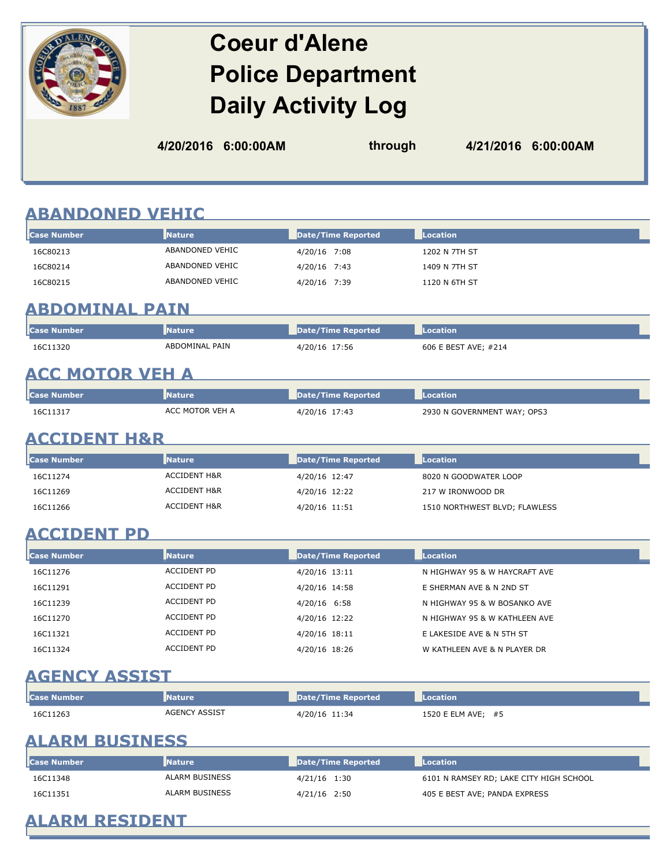# **Coeur d'Alene Police Department Daily Activity Log**

| 4/20/2016 6:00:00AM | through | 4/21/2016 6:00:00AM |
|---------------------|---------|---------------------|
|                     |         |                     |

## **ABANDONED VEHIC**

| ABANDONED VEHIC<br>4/20/16 7:08<br>1202 N 7TH ST<br>ABANDONED VEHIC<br>4/20/16 7:43<br>1409 N 7TH ST | <b>Case Number</b> | <b>Nature</b>   | Date/Time Reported | Location |
|------------------------------------------------------------------------------------------------------|--------------------|-----------------|--------------------|----------|
|                                                                                                      | 16C80213           |                 |                    |          |
|                                                                                                      | 16C80214           |                 |                    |          |
| 4/20/16 7:39<br>1120 N 6TH ST                                                                        | 16C80215           | ABANDONED VEHIC |                    |          |

# **ABDOMINAL PAIN**

| <b>Case Number</b> | <b>Nature</b>  | Date/Time Reported | Location             |
|--------------------|----------------|--------------------|----------------------|
| 16C11320           | ABDOMINAL PAIN | 4/20/16 17:56      | 606 E BEST AVE: #214 |

<u> 1980 - Johann Barbara, martxa alemaniar a</u>

# **ACC MOTOR VEH A**

| <b>I</b> Case Number | Mature          | Date/Time Reported | Location                    |
|----------------------|-----------------|--------------------|-----------------------------|
| 16C11317             | ACC MOTOR VEH A | 4/20/16 17:43      | 2930 N GOVERNMENT WAY; OPS3 |

## **ACCIDENT H&R**

| <b>Case Number</b> | <b>Nature</b>           | Date/Time Reported | Location                      |
|--------------------|-------------------------|--------------------|-------------------------------|
| 16C11274           | ACCIDENT H&R            | 4/20/16 12:47      | 8020 N GOODWATER LOOP         |
| 16C11269           | <b>ACCIDENT H&amp;R</b> | 4/20/16 12:22      | 217 W IRONWOOD DR             |
| 16C11266           | <b>ACCIDENT H&amp;R</b> | 4/20/16 11:51      | 1510 NORTHWEST BLVD; FLAWLESS |

## **ACCIDENT PD**

| <b>Case Number</b> | <b>Nature</b>      | Date/Time Reported | Location                      |  |
|--------------------|--------------------|--------------------|-------------------------------|--|
| 16C11276           | <b>ACCIDENT PD</b> | 4/20/16 13:11      | N HIGHWAY 95 & W HAYCRAFT AVE |  |
| 16C11291           | <b>ACCIDENT PD</b> | 4/20/16 14:58      | E SHERMAN AVE & N 2ND ST      |  |
| 16C11239           | ACCIDENT PD        | 4/20/16 6:58       | N HIGHWAY 95 & W BOSANKO AVE  |  |
| 16C11270           | <b>ACCIDENT PD</b> | 4/20/16 12:22      | N HIGHWAY 95 & W KATHLEEN AVE |  |
| 16C11321           | <b>ACCIDENT PD</b> | 4/20/16 18:11      | E LAKESIDE AVE & N 5TH ST     |  |
| 16C11324           | <b>ACCIDENT PD</b> | 4/20/16 18:26      | W KATHLEEN AVE & N PLAYER DR  |  |

# **AGENCY ASSIST**

| <b>l</b> Case Number | <b>Nature</b> | Date/Time Reported | Location           |
|----------------------|---------------|--------------------|--------------------|
| 16C11263             | AGENCY ASSIST | 4/20/16 11:34      | 1520 E ELM AVE; #5 |

## **ALARM BUSINESS**

| <b>Case Number</b> | <b>I</b> Nature | Date/Time Reported | <b>Location</b>                         |
|--------------------|-----------------|--------------------|-----------------------------------------|
| 16C11348           | ALARM BUSINESS  | 4/21/16 1:30       | 6101 N RAMSEY RD; LAKE CITY HIGH SCHOOL |
| 16C11351           | ALARM BUSINESS  | 4/21/16 2:50       | 405 E BEST AVE; PANDA EXPRESS           |

# **ALARM RESIDENT**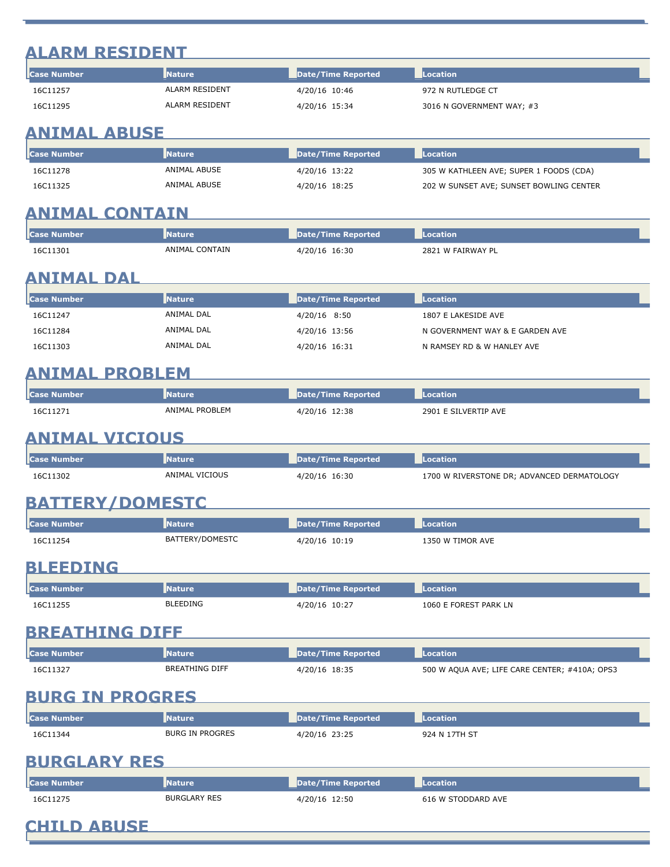# **ALARM RESIDENT**

| <b>lc</b> ase Number | <b>Nature</b>  | Date/Time Reported | Location                  |
|----------------------|----------------|--------------------|---------------------------|
| 16C11257             | ALARM RESIDENT | 4/20/16 10:46      | 972 N RUTLEDGE CT         |
| 16C11295             | ALARM RESIDENT | 4/20/16 15:34      | 3016 N GOVERNMENT WAY; #3 |

# **ANIMAL ABUSE**

| l <b>l</b> Case Number | <b>Nature</b> | Date/Time Reported | Location                                |
|------------------------|---------------|--------------------|-----------------------------------------|
| 16C11278               | ANIMAL ABUSE  | 4/20/16 13:22      | 305 W KATHLEEN AVE; SUPER 1 FOODS (CDA) |
| 16C11325               | ANIMAL ABUSE  | 4/20/16 18:25      | 202 W SUNSET AVE; SUNSET BOWLING CENTER |

## **ANIMAL CONTAIN**

|          | ture<br>__          | /Time Reported '<br>pate/ | ation                      |
|----------|---------------------|---------------------------|----------------------------|
| 16C11301 | _ CONTAIN<br>ANIMAL | 16:30                     | $\sim$ W FAIRWAY PI<br>282 |

# **ANIMAL DAL**

| <b>lc</b> ase Number | <b>Nature</b> | Date/Time Reported | Location                        |
|----------------------|---------------|--------------------|---------------------------------|
| 16C11247             | ANIMAL DAL    | 4/20/16 8:50       | 1807 E LAKESIDE AVE             |
| 16C11284             | ANIMAL DAL    | 4/20/16 13:56      | N GOVERNMENT WAY & E GARDEN AVE |
| 16C11303             | ANIMAL DAL    | 4/20/16 16:31      | N RAMSEY RD & W HANLEY AVE      |

# **ANIMAL PROBLEM**

| <b>I</b> Case Number | <b>Nature</b>  | Date/Time Reported | Location             |
|----------------------|----------------|--------------------|----------------------|
| 16C11271             | ANIMAL PROBLEM | 4/20/16 12:38      | 2901 E SILVERTIP AVE |

## **ANIMAL VICIOUS**

| <b>I</b> Case Number | <b>Nature</b>  | Date/Time Reported | <b>Location</b>                            |
|----------------------|----------------|--------------------|--------------------------------------------|
| 16C11302             | ANIMAL VICIOUS | 4/20/16 16:30      | 1700 W RIVERSTONE DR; ADVANCED DERMATOLOGY |

# **BATTERY/DOMESTC**

|          | <b>Nature</b>               | Time Reported<br>____ | ___                                     |  |
|----------|-----------------------------|-----------------------|-----------------------------------------|--|
| 16C11254 | <b>TTERY/DOMESTC</b><br>BAT | 10:19<br>4/20/16      | <b>TIMOR AVE</b><br>1350 W <sup>-</sup> |  |

# **BLEEDING**

| l <b>l</b> Case Number | <b>Nature</b>   | Date/Time Reported | Location              |
|------------------------|-----------------|--------------------|-----------------------|
| 16C11255               | <b>BLEEDING</b> | 4/20/16 10:27      | 1060 E FOREST PARK LN |

#### **BREATHING DIFF**

| <b>I</b> Case |                       | Time Reported'    | тілг                                          |
|---------------|-----------------------|-------------------|-----------------------------------------------|
| 16C11327      | <b>BREATHING DIFF</b> | 18:35<br>7207 I t | 500 W AQUA AVE; LIFE CARE CENTER; #410A; OPS3 |

# **BURG IN PROGRES**

| <b>I</b> Case Number | <b>Nature</b>   | Date/Time Reported | Location      |
|----------------------|-----------------|--------------------|---------------|
| 16C11344             | BURG IN PROGRES | 4/20/16 23:25      | 924 N 17TH ST |

# **BURGLARY RES**

| <b>I</b> Case Number | <b>Nature</b>       | Date/Time Reported | <b>Location</b>    |
|----------------------|---------------------|--------------------|--------------------|
| 16C11275             | <b>BURGLARY RES</b> | 4/20/16 12:50      | 616 W STODDARD AVE |

**CHILD ABUSE**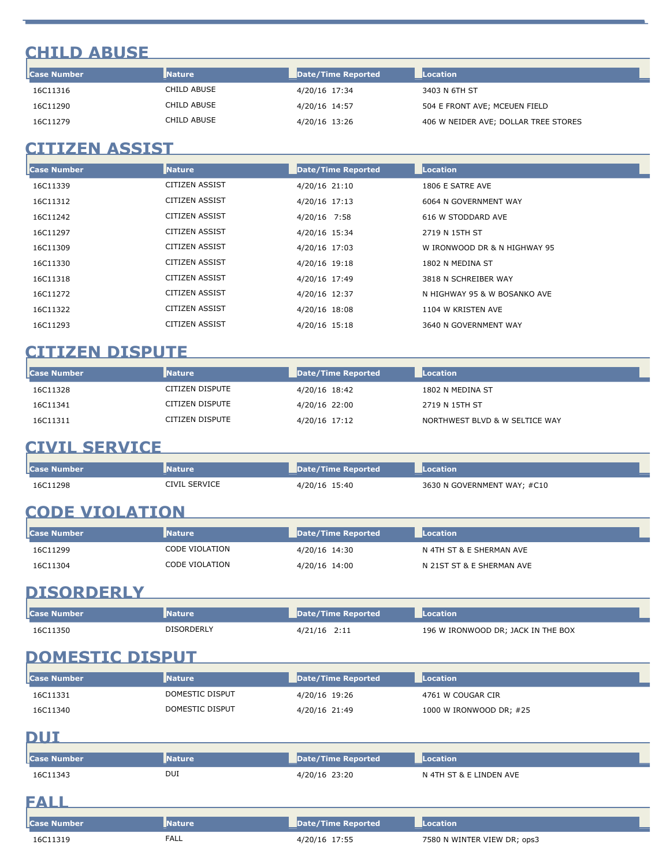# **CHILD ABUSE**

| <b>Case Number</b> | <b>Nature</b> | Date/Time Reported | Location                             |
|--------------------|---------------|--------------------|--------------------------------------|
| 16C11316           | CHILD ABUSE   | 4/20/16 17:34      | 3403 N 6TH ST                        |
| 16C11290           | CHILD ABUSE   | 4/20/16 14:57      | 504 E FRONT AVE; MCEUEN FIELD        |
| 16C11279           | CHILD ABUSE   | 4/20/16 13:26      | 406 W NEIDER AVE; DOLLAR TREE STORES |

## **CITIZEN ASSIST**

| Case Number | <b>Nature</b>         | <b>Date/Time Reported</b> | Location                     |
|-------------|-----------------------|---------------------------|------------------------------|
| 16C11339    | CITIZEN ASSIST        | 4/20/16 21:10             | 1806 E SATRE AVE             |
| 16C11312    | CITIZEN ASSIST        | 4/20/16 17:13             | 6064 N GOVERNMENT WAY        |
| 16C11242    | CITIZEN ASSIST        | 4/20/16 7:58              | 616 W STODDARD AVE           |
| 16C11297    | <b>CITIZEN ASSIST</b> | 4/20/16 15:34             | 2719 N 15TH ST               |
| 16C11309    | <b>CITIZEN ASSIST</b> | 4/20/16 17:03             | W IRONWOOD DR & N HIGHWAY 95 |
| 16C11330    | CITIZEN ASSIST        | 4/20/16 19:18             | 1802 N MEDINA ST             |
| 16C11318    | CITIZEN ASSIST        | 4/20/16 17:49             | 3818 N SCHREIBER WAY         |
| 16C11272    | CITIZEN ASSIST        | 4/20/16 12:37             | N HIGHWAY 95 & W BOSANKO AVE |
| 16C11322    | CITIZEN ASSIST        | 4/20/16 18:08             | 1104 W KRISTEN AVE           |
| 16C11293    | CITIZEN ASSIST        | 4/20/16 15:18             | 3640 N GOVERNMENT WAY        |

## **CITIZEN DISPUTE**

| <b>Case Number</b> | <b>Nature</b>   | Date/Time Reported | Location                       |
|--------------------|-----------------|--------------------|--------------------------------|
| 16C11328           | CITIZEN DISPUTE | 4/20/16 18:42      | 1802 N MEDINA ST               |
| 16C11341           | CITIZEN DISPUTE | 4/20/16 22:00      | 2719 N 15TH ST                 |
| 16C11311           | CITIZEN DISPUTE | 4/20/16 17:12      | NORTHWEST BLVD & W SELTICE WAY |

# **CIVIL SERVICE**

| l <b>l</b> Case Number | <b>Nature</b> | Date/Time Reported | Location                    |
|------------------------|---------------|--------------------|-----------------------------|
| 16C11298               | CIVIL SERVICE | 4/20/16 15:40      | 3630 N GOVERNMENT WAY; #C10 |

# **CODE VIOLATION**

| l <b>l</b> Case Number | <b>Nature</b>  | Date/Time Reported | Location                  |
|------------------------|----------------|--------------------|---------------------------|
| 16C11299               | CODE VIOLATION | 4/20/16 14:30      | N 4TH ST & E SHERMAN AVE  |
| 16C11304               | CODE VIOLATION | 4/20/16 14:00      | N 21ST ST & E SHERMAN AVE |

# **DISORDERLY**

| <b>I</b> Case Number | <b>Nature</b> | Date/Time Reported | <b>Location</b>                    |
|----------------------|---------------|--------------------|------------------------------------|
| 16C11350             | DISORDERLY    | 4/21/16 2:11       | 196 W IRONWOOD DR; JACK IN THE BOX |

# **DOMESTIC DISPUT**

| <b>Case Number</b> | <b>Nature</b>   | Date/Time Reported | <b>Location</b>         |
|--------------------|-----------------|--------------------|-------------------------|
| 16C11331           | DOMESTIC DISPUT | 4/20/16 19:26      | 4761 W COUGAR CIR       |
| 16C11340           | DOMESTIC DISPUT | 4/20/16 21:49      | 1000 W IRONWOOD DR; #25 |

#### **DUI**

| ___                |               |                           |                             |  |
|--------------------|---------------|---------------------------|-----------------------------|--|
| <b>Case Number</b> | <b>Nature</b> | Date/Time Reported        | Location                    |  |
| 16C11343           | DUI           | 4/20/16 23:20             | N 4TH ST & E LINDEN AVE     |  |
| EALL               |               |                           |                             |  |
| <b>Case Number</b> | <b>Nature</b> | <b>Date/Time Reported</b> | Location                    |  |
| 16C11319           | <b>FALL</b>   | 4/20/16 17:55             | 7580 N WINTER VIEW DR; ops3 |  |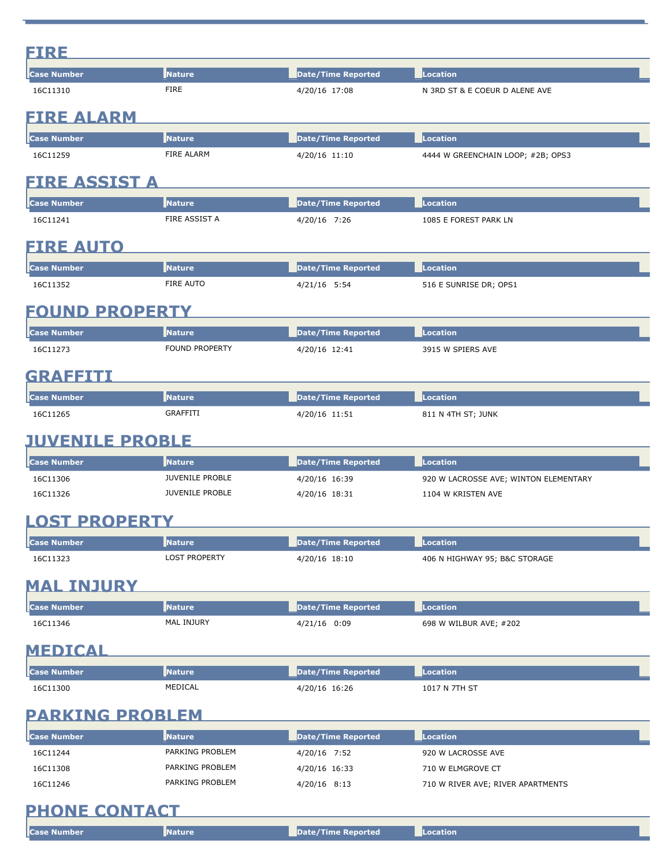| FIRE                   |                             |                           |                                       |
|------------------------|-----------------------------|---------------------------|---------------------------------------|
| <b>Case Number</b>     | Nature                      | <b>Date/Time Reported</b> | Location                              |
| 16C11310               | <b>FIRE</b>                 | 4/20/16 17:08             | N 3RD ST & E COEUR D ALENE AVE        |
| <b>FIRE ALARM</b>      |                             |                           |                                       |
|                        |                             |                           |                                       |
| <b>Case Number</b>     | <b>Nature</b><br>FIRE ALARM | <b>Date/Time Reported</b> | Location                              |
| 16C11259               |                             | 4/20/16 11:10             | 4444 W GREENCHAIN LOOP; #2B; OPS3     |
| <b>FIRE ASSIST A</b>   |                             |                           |                                       |
| <b>Case Number</b>     | <b>Nature</b>               | <b>Date/Time Reported</b> | <b>Location</b>                       |
| 16C11241               | FIRE ASSIST A               | 4/20/16 7:26              | 1085 E FOREST PARK LN                 |
| <b>FIRE AUTO</b>       |                             |                           |                                       |
| <b>Case Number</b>     | <b>Nature</b>               | <b>Date/Time Reported</b> | <b>Location</b>                       |
| 16C11352               | FIRE AUTO                   | 4/21/16 5:54              | 516 E SUNRISE DR; OPS1                |
|                        |                             |                           |                                       |
| <b>FOUND PROPERTY</b>  |                             |                           |                                       |
| <b>Case Number</b>     | <b>Nature</b>               | <b>Date/Time Reported</b> | <b>Location</b>                       |
| 16C11273               | <b>FOUND PROPERTY</b>       | 4/20/16 12:41             | 3915 W SPIERS AVE                     |
| GRAEETH                |                             |                           |                                       |
| <b>Case Number</b>     | <b>Nature</b>               | <b>Date/Time Reported</b> | Location                              |
| 16C11265               | <b>GRAFFITI</b>             | 4/20/16 11:51             | 811 N 4TH ST; JUNK                    |
|                        |                             |                           |                                       |
| <b>JUVENILE PROBLE</b> |                             |                           |                                       |
| <b>Case Number</b>     | <b>Nature</b>               | <b>Date/Time Reported</b> | <b>Location</b>                       |
| 16C11306               | <b>JUVENILE PROBLE</b>      | 4/20/16 16:39             | 920 W LACROSSE AVE; WINTON ELEMENTARY |
| 16C11326               | <b>JUVENILE PROBLE</b>      | 4/20/16 18:31             | 1104 W KRISTEN AVE                    |
| <b>LOST PROPERTY</b>   |                             |                           |                                       |
| <b>Case Number</b>     | <b>Nature</b>               | <b>Date/Time Reported</b> | <b>Location</b>                       |
| 16C11323               | <b>LOST PROPERTY</b>        | 4/20/16 18:10             | 406 N HIGHWAY 95; B&C STORAGE         |
|                        |                             |                           |                                       |
| <b>MAL INJURY</b>      |                             |                           |                                       |
| <b>Case Number</b>     | <b>Nature</b>               | <b>Date/Time Reported</b> | <b>Location</b>                       |
| 16C11346               | MAL INJURY                  | 4/21/16 0:09              | 698 W WILBUR AVE; #202                |
| <b>MEDICAL</b>         |                             |                           |                                       |
| <b>Case Number</b>     | Nature                      | <b>Date/Time Reported</b> | <b>Location</b>                       |
| 16C11300               | MEDICAL                     | 4/20/16 16:26             | 1017 N 7TH ST                         |
|                        |                             |                           |                                       |
| <b>PARKING PROBLEM</b> |                             |                           |                                       |
| <b>Case Number</b>     | <b>Nature</b>               | <b>Date/Time Reported</b> | <b>Location</b>                       |
| 16C11244               | PARKING PROBLEM             | 4/20/16 7:52              | 920 W LACROSSE AVE                    |
| 16C11308               | PARKING PROBLEM             | 4/20/16 16:33             | 710 W ELMGROVE CT                     |
| 16C11246               | PARKING PROBLEM             | $4/20/16$ 8:13            | 710 W RIVER AVE; RIVER APARTMENTS     |
| <b>PHONE CONTACT</b>   |                             |                           |                                       |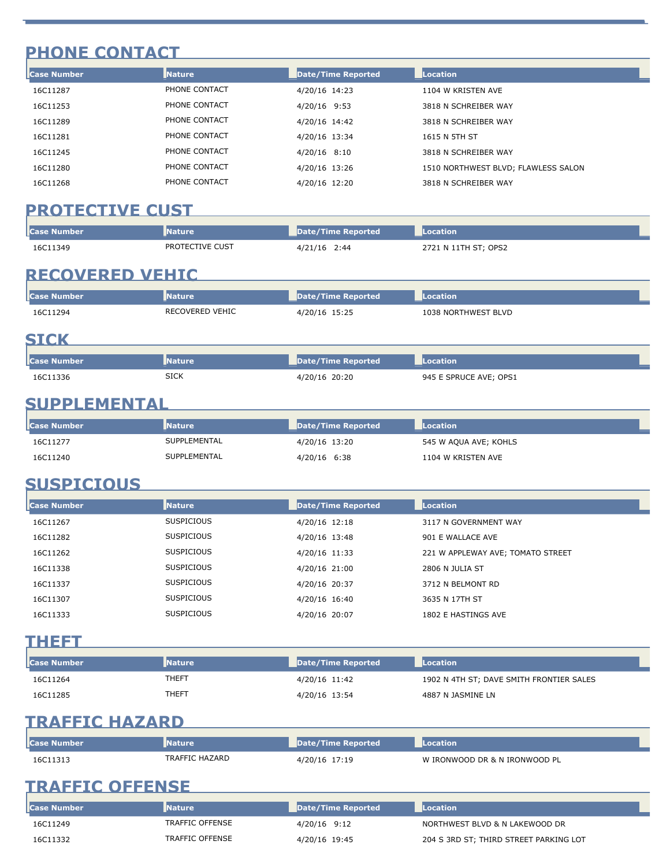# **PHONE CONTACT**

| <b>Case Number</b> | <b>Nature</b> | Date/Time Reported | Location                            |  |
|--------------------|---------------|--------------------|-------------------------------------|--|
| 16C11287           | PHONE CONTACT | 4/20/16 14:23      | 1104 W KRISTEN AVE                  |  |
| 16C11253           | PHONE CONTACT | 4/20/16 9:53       | 3818 N SCHREIBER WAY                |  |
| 16C11289           | PHONE CONTACT | 4/20/16 14:42      | 3818 N SCHREIBER WAY                |  |
| 16C11281           | PHONE CONTACT | 4/20/16 13:34      | 1615 N 5TH ST                       |  |
| 16C11245           | PHONE CONTACT | $4/20/16$ 8:10     | 3818 N SCHREIBER WAY                |  |
| 16C11280           | PHONE CONTACT | 4/20/16 13:26      | 1510 NORTHWEST BLVD; FLAWLESS SALON |  |
| 16C11268           | PHONE CONTACT | 4/20/16 12:20      | 3818 N SCHREIBER WAY                |  |

## PROTECTIVE CUST NATIONAL PROTECTIVE CUST

| <b>ICase Number</b> | <b>Nature</b>   | Date/Time Reported | ation<br>___         |
|---------------------|-----------------|--------------------|----------------------|
| 16C11349            | PROTECTIVE CUST | 2:44               |                      |
|                     |                 | 4/21/16            | 2721 N 11TH ST; OPS2 |

## **RECOVERED VEHIC**

| <b>Case Number</b> | <b>Nature</b>   | Date/Time Reported | Location            |  |
|--------------------|-----------------|--------------------|---------------------|--|
| 16C11294           | RECOVERED VEHIC | 4/20/16 15:25      | 1038 NORTHWEST BLVD |  |
| <b>STCK</b>        |                 |                    |                     |  |

| <b><i>Property of the Second</i></b> | ___         | 'Time Reported<br>Date, | ation<br>____                    |
|--------------------------------------|-------------|-------------------------|----------------------------------|
| 1336<br>16C<br>.                     | <b>SICK</b> | 20:20                   | <b>E SPRUCE AVE; OPS1</b><br>945 |

# **SUPPLEMENTAL**

| l <b>l</b> Case Number | <b>Nature</b> | Date/Time Reported | <b>Location</b>       |
|------------------------|---------------|--------------------|-----------------------|
| 16C11277               | SUPPLEMENTAL  | 4/20/16 13:20      | 545 W AQUA AVE; KOHLS |
| 16C11240               | SUPPLEMENTAL  | 4/20/16 6:38       | 1104 W KRISTEN AVE    |

## **SUSPICIOUS**

| <b>Case Number</b> | <b>Nature</b>     | Date/Time Reported | Location                          |
|--------------------|-------------------|--------------------|-----------------------------------|
| 16C11267           | <b>SUSPICIOUS</b> | 4/20/16 12:18      | 3117 N GOVERNMENT WAY             |
| 16C11282           | <b>SUSPICIOUS</b> | 4/20/16 13:48      | 901 E WALLACE AVE                 |
| 16C11262           | <b>SUSPICIOUS</b> | 4/20/16 11:33      | 221 W APPLEWAY AVE; TOMATO STREET |
| 16C11338           | <b>SUSPICIOUS</b> | 4/20/16 21:00      | 2806 N JULIA ST                   |
| 16C11337           | <b>SUSPICIOUS</b> | 4/20/16 20:37      | 3712 N BELMONT RD                 |
| 16C11307           | <b>SUSPICIOUS</b> | 4/20/16 16:40      | 3635 N 17TH ST                    |
| 16C11333           | <b>SUSPICIOUS</b> | 4/20/16 20:07      | 1802 E HASTINGS AVE               |

### **THEFT**

| <b>I</b> Case Number | <b>I</b> Nature | Date/Time Reported | <b>Location</b>                          |
|----------------------|-----------------|--------------------|------------------------------------------|
| 16C11264             | THEFT           | 4/20/16 11:42      | 1902 N 4TH ST; DAVE SMITH FRONTIER SALES |
| 16C11285             | THEFT           | 4/20/16 13:54      | 4887 N JASMINE LN                        |

# **TRAFFIC HAZARD**

| l <b>l</b> Case Number | <b>Nature</b>  | Date/Time Reported | Location                      |
|------------------------|----------------|--------------------|-------------------------------|
| 16C11313               | TRAFFIC HAZARD | 4/20/16 17:19      | W IRONWOOD DR & N IRONWOOD PL |

# **TRAFFIC OFFENSE**

| <b>I</b> Case Number | <b>Nature</b>   | Date/Time Reported | Location                               |
|----------------------|-----------------|--------------------|----------------------------------------|
| 16C11249             | TRAFFIC OFFENSE | 4/20/16 9:12       | NORTHWEST BLVD & N LAKEWOOD DR         |
| 16C11332             | TRAFFIC OFFENSE | 4/20/16 19:45      | 204 S 3RD ST; THIRD STREET PARKING LOT |